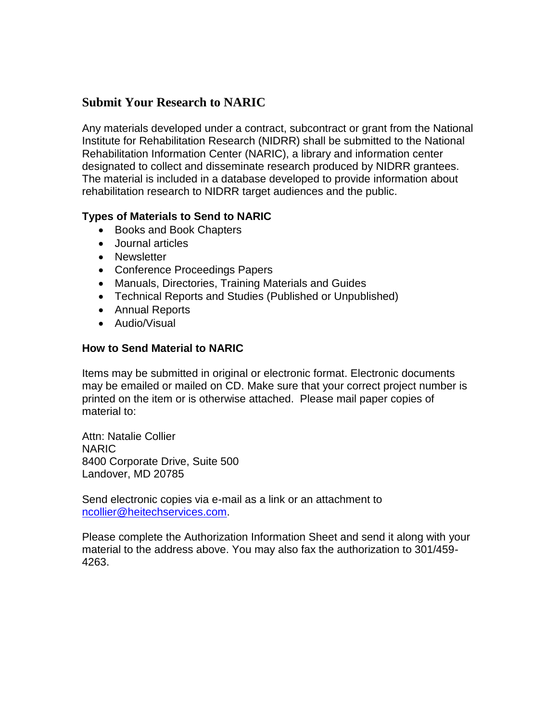## **Submit Your Research to NARIC**

Any materials developed under a contract, subcontract or grant from the National Institute for Rehabilitation Research (NIDRR) shall be submitted to the National Rehabilitation Information Center (NARIC), a library and information center designated to collect and disseminate research produced by NIDRR grantees. The material is included in a database developed to provide information about rehabilitation research to NIDRR target audiences and the public.

### **Types of Materials to Send to NARIC**

- Books and Book Chapters
- Journal articles
- Newsletter
- Conference Proceedings Papers
- Manuals, Directories, Training Materials and Guides
- Technical Reports and Studies (Published or Unpublished)
- Annual Reports
- Audio/Visual

### **How to Send Material to NARIC**

Items may be submitted in original or electronic format. Electronic documents may be emailed or mailed on CD. Make sure that your correct project number is printed on the item or is otherwise attached. Please mail paper copies of material to:

Attn: Natalie Collier NARIC 8400 Corporate Drive, Suite 500 Landover, MD 20785

Send electronic copies via e-mail as a link or an attachment to [ncollier@heitechservices.com.](mailto:ncollier@heitechservices.com)

Please complete the Authorization Information Sheet and send it along with your material to the address above. You may also fax the authorization to 301/459- 4263.